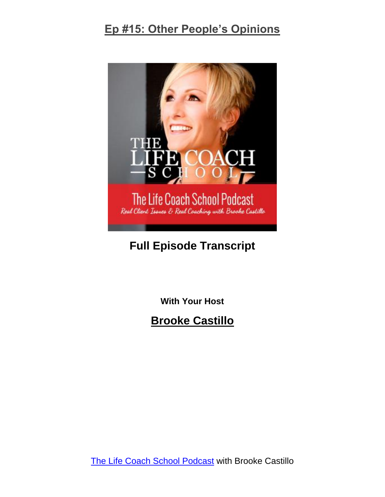

# **Full Episode Transcript**

**With Your Host**

**Brooke Castillo**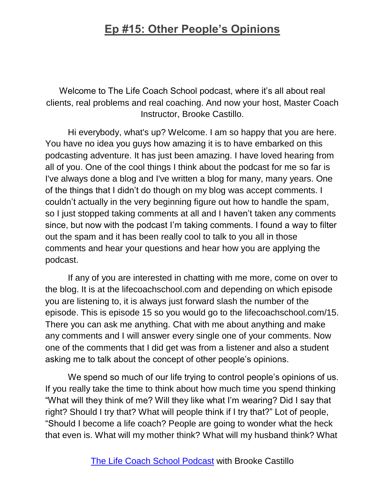Welcome to The Life Coach School podcast, where it's all about real clients, real problems and real coaching. And now your host, Master Coach Instructor, Brooke Castillo.

Hi everybody, what's up? Welcome. I am so happy that you are here. You have no idea you guys how amazing it is to have embarked on this podcasting adventure. It has just been amazing. I have loved hearing from all of you. One of the cool things I think about the podcast for me so far is I've always done a blog and I've written a blog for many, many years. One of the things that I didn't do though on my blog was accept comments. I couldn't actually in the very beginning figure out how to handle the spam, so I just stopped taking comments at all and I haven't taken any comments since, but now with the podcast I'm taking comments. I found a way to filter out the spam and it has been really cool to talk to you all in those comments and hear your questions and hear how you are applying the podcast.

If any of you are interested in chatting with me more, come on over to the blog. It is at the lifecoachschool.com and depending on which episode you are listening to, it is always just forward slash the number of the episode. This is episode 15 so you would go to the lifecoachschool.com/15. There you can ask me anything. Chat with me about anything and make any comments and I will answer every single one of your comments. Now one of the comments that I did get was from a listener and also a student asking me to talk about the concept of other people's opinions.

We spend so much of our life trying to control people's opinions of us. If you really take the time to think about how much time you spend thinking "What will they think of me? Will they like what I'm wearing? Did I say that right? Should I try that? What will people think if I try that?" Lot of people, "Should I become a life coach? People are going to wonder what the heck that even is. What will my mother think? What will my husband think? What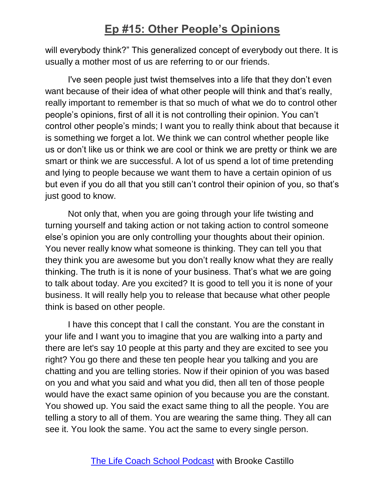will everybody think?" This generalized concept of everybody out there. It is usually a mother most of us are referring to or our friends.

I've seen people just twist themselves into a life that they don't even want because of their idea of what other people will think and that's really, really important to remember is that so much of what we do to control other people's opinions, first of all it is not controlling their opinion. You can't control other people's minds; I want you to really think about that because it is something we forget a lot. We think we can control whether people like us or don't like us or think we are cool or think we are pretty or think we are smart or think we are successful. A lot of us spend a lot of time pretending and lying to people because we want them to have a certain opinion of us but even if you do all that you still can't control their opinion of you, so that's just good to know.

Not only that, when you are going through your life twisting and turning yourself and taking action or not taking action to control someone else's opinion you are only controlling your thoughts about their opinion. You never really know what someone is thinking. They can tell you that they think you are awesome but you don't really know what they are really thinking. The truth is it is none of your business. That's what we are going to talk about today. Are you excited? It is good to tell you it is none of your business. It will really help you to release that because what other people think is based on other people.

I have this concept that I call the constant. You are the constant in your life and I want you to imagine that you are walking into a party and there are let's say 10 people at this party and they are excited to see you right? You go there and these ten people hear you talking and you are chatting and you are telling stories. Now if their opinion of you was based on you and what you said and what you did, then all ten of those people would have the exact same opinion of you because you are the constant. You showed up. You said the exact same thing to all the people. You are telling a story to all of them. You are wearing the same thing. They all can see it. You look the same. You act the same to every single person.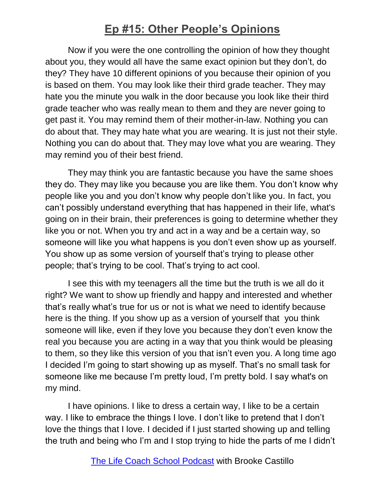Now if you were the one controlling the opinion of how they thought about you, they would all have the same exact opinion but they don't, do they? They have 10 different opinions of you because their opinion of you is based on them. You may look like their third grade teacher. They may hate you the minute you walk in the door because you look like their third grade teacher who was really mean to them and they are never going to get past it. You may remind them of their mother-in-law. Nothing you can do about that. They may hate what you are wearing. It is just not their style. Nothing you can do about that. They may love what you are wearing. They may remind you of their best friend.

They may think you are fantastic because you have the same shoes they do. They may like you because you are like them. You don't know why people like you and you don't know why people don't like you. In fact, you can't possibly understand everything that has happened in their life, what's going on in their brain, their preferences is going to determine whether they like you or not. When you try and act in a way and be a certain way, so someone will like you what happens is you don't even show up as yourself. You show up as some version of yourself that's trying to please other people; that's trying to be cool. That's trying to act cool.

I see this with my teenagers all the time but the truth is we all do it right? We want to show up friendly and happy and interested and whether that's really what's true for us or not is what we need to identify because here is the thing. If you show up as a version of yourself that you think someone will like, even if they love you because they don't even know the real you because you are acting in a way that you think would be pleasing to them, so they like this version of you that isn't even you. A long time ago I decided I'm going to start showing up as myself. That's no small task for someone like me because I'm pretty loud, I'm pretty bold. I say what's on my mind.

I have opinions. I like to dress a certain way, I like to be a certain way. I like to embrace the things I love. I don't like to pretend that I don't love the things that I love. I decided if I just started showing up and telling the truth and being who I'm and I stop trying to hide the parts of me I didn't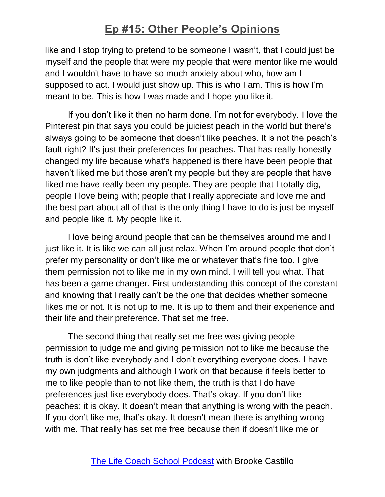like and I stop trying to pretend to be someone I wasn't, that I could just be myself and the people that were my people that were mentor like me would and I wouldn't have to have so much anxiety about who, how am I supposed to act. I would just show up. This is who I am. This is how I'm meant to be. This is how I was made and I hope you like it.

If you don't like it then no harm done. I'm not for everybody. I love the Pinterest pin that says you could be juiciest peach in the world but there's always going to be someone that doesn't like peaches. It is not the peach's fault right? It's just their preferences for peaches. That has really honestly changed my life because what's happened is there have been people that haven't liked me but those aren't my people but they are people that have liked me have really been my people. They are people that I totally dig, people I love being with; people that I really appreciate and love me and the best part about all of that is the only thing I have to do is just be myself and people like it. My people like it.

I love being around people that can be themselves around me and I just like it. It is like we can all just relax. When I'm around people that don't prefer my personality or don't like me or whatever that's fine too. I give them permission not to like me in my own mind. I will tell you what. That has been a game changer. First understanding this concept of the constant and knowing that I really can't be the one that decides whether someone likes me or not. It is not up to me. It is up to them and their experience and their life and their preference. That set me free.

The second thing that really set me free was giving people permission to judge me and giving permission not to like me because the truth is don't like everybody and I don't everything everyone does. I have my own judgments and although I work on that because it feels better to me to like people than to not like them, the truth is that I do have preferences just like everybody does. That's okay. If you don't like peaches; it is okay. It doesn't mean that anything is wrong with the peach. If you don't like me, that's okay. It doesn't mean there is anything wrong with me. That really has set me free because then if doesn't like me or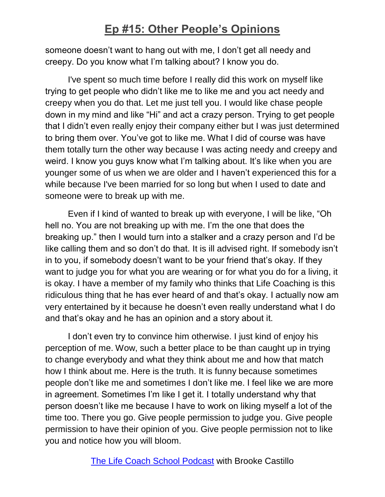someone doesn't want to hang out with me, I don't get all needy and creepy. Do you know what I'm talking about? I know you do.

I've spent so much time before I really did this work on myself like trying to get people who didn't like me to like me and you act needy and creepy when you do that. Let me just tell you. I would like chase people down in my mind and like "Hi" and act a crazy person. Trying to get people that I didn't even really enjoy their company either but I was just determined to bring them over. You've got to like me. What I did of course was have them totally turn the other way because I was acting needy and creepy and weird. I know you guys know what I'm talking about. It's like when you are younger some of us when we are older and I haven't experienced this for a while because I've been married for so long but when I used to date and someone were to break up with me.

Even if I kind of wanted to break up with everyone, I will be like, "Oh hell no. You are not breaking up with me. I'm the one that does the breaking up." then I would turn into a stalker and a crazy person and I'd be like calling them and so don't do that. It is ill advised right. If somebody isn't in to you, if somebody doesn't want to be your friend that's okay. If they want to judge you for what you are wearing or for what you do for a living, it is okay. I have a member of my family who thinks that Life Coaching is this ridiculous thing that he has ever heard of and that's okay. I actually now am very entertained by it because he doesn't even really understand what I do and that's okay and he has an opinion and a story about it.

I don't even try to convince him otherwise. I just kind of enjoy his perception of me. Wow, such a better place to be than caught up in trying to change everybody and what they think about me and how that match how I think about me. Here is the truth. It is funny because sometimes people don't like me and sometimes I don't like me. I feel like we are more in agreement. Sometimes I'm like I get it. I totally understand why that person doesn't like me because I have to work on liking myself a lot of the time too. There you go. Give people permission to judge you. Give people permission to have their opinion of you. Give people permission not to like you and notice how you will bloom.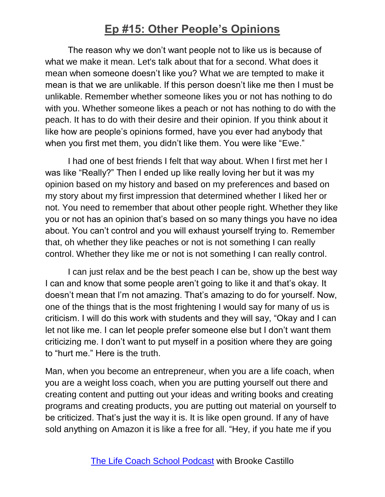The reason why we don't want people not to like us is because of what we make it mean. Let's talk about that for a second. What does it mean when someone doesn't like you? What we are tempted to make it mean is that we are unlikable. If this person doesn't like me then I must be unlikable. Remember whether someone likes you or not has nothing to do with you. Whether someone likes a peach or not has nothing to do with the peach. It has to do with their desire and their opinion. If you think about it like how are people's opinions formed, have you ever had anybody that when you first met them, you didn't like them. You were like "Ewe."

I had one of best friends I felt that way about. When I first met her I was like "Really?" Then I ended up like really loving her but it was my opinion based on my history and based on my preferences and based on my story about my first impression that determined whether I liked her or not. You need to remember that about other people right. Whether they like you or not has an opinion that's based on so many things you have no idea about. You can't control and you will exhaust yourself trying to. Remember that, oh whether they like peaches or not is not something I can really control. Whether they like me or not is not something I can really control.

I can just relax and be the best peach I can be, show up the best way I can and know that some people aren't going to like it and that's okay. It doesn't mean that I'm not amazing. That's amazing to do for yourself. Now, one of the things that is the most frightening I would say for many of us is criticism. I will do this work with students and they will say, "Okay and I can let not like me. I can let people prefer someone else but I don't want them criticizing me. I don't want to put myself in a position where they are going to "hurt me." Here is the truth.

Man, when you become an entrepreneur, when you are a life coach, when you are a weight loss coach, when you are putting yourself out there and creating content and putting out your ideas and writing books and creating programs and creating products, you are putting out material on yourself to be criticized. That's just the way it is. It is like open ground. If any of have sold anything on Amazon it is like a free for all. "Hey, if you hate me if you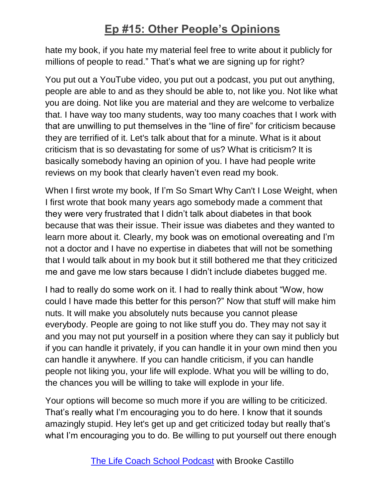hate my book, if you hate my material feel free to write about it publicly for millions of people to read." That's what we are signing up for right?

You put out a YouTube video, you put out a podcast, you put out anything, people are able to and as they should be able to, not like you. Not like what you are doing. Not like you are material and they are welcome to verbalize that. I have way too many students, way too many coaches that I work with that are unwilling to put themselves in the "line of fire" for criticism because they are terrified of it. Let's talk about that for a minute. What is it about criticism that is so devastating for some of us? What is criticism? It is basically somebody having an opinion of you. I have had people write reviews on my book that clearly haven't even read my book.

When I first wrote my book, If I'm So Smart Why Can't I Lose Weight, when I first wrote that book many years ago somebody made a comment that they were very frustrated that I didn't talk about diabetes in that book because that was their issue. Their issue was diabetes and they wanted to learn more about it. Clearly, my book was on emotional overeating and I'm not a doctor and I have no expertise in diabetes that will not be something that I would talk about in my book but it still bothered me that they criticized me and gave me low stars because I didn't include diabetes bugged me.

I had to really do some work on it. I had to really think about "Wow, how could I have made this better for this person?" Now that stuff will make him nuts. It will make you absolutely nuts because you cannot please everybody. People are going to not like stuff you do. They may not say it and you may not put yourself in a position where they can say it publicly but if you can handle it privately, if you can handle it in your own mind then you can handle it anywhere. If you can handle criticism, if you can handle people not liking you, your life will explode. What you will be willing to do, the chances you will be willing to take will explode in your life.

Your options will become so much more if you are willing to be criticized. That's really what I'm encouraging you to do here. I know that it sounds amazingly stupid. Hey let's get up and get criticized today but really that's what I'm encouraging you to do. Be willing to put yourself out there enough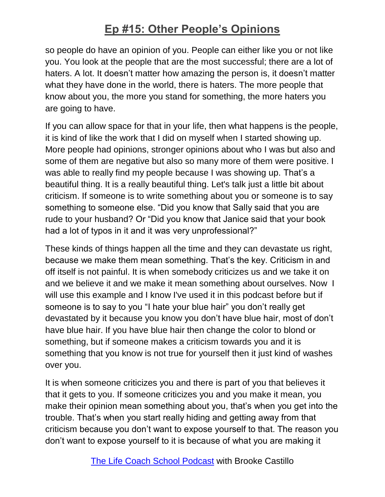so people do have an opinion of you. People can either like you or not like you. You look at the people that are the most successful; there are a lot of haters. A lot. It doesn't matter how amazing the person is, it doesn't matter what they have done in the world, there is haters. The more people that know about you, the more you stand for something, the more haters you are going to have.

If you can allow space for that in your life, then what happens is the people, it is kind of like the work that I did on myself when I started showing up. More people had opinions, stronger opinions about who I was but also and some of them are negative but also so many more of them were positive. I was able to really find my people because I was showing up. That's a beautiful thing. It is a really beautiful thing. Let's talk just a little bit about criticism. If someone is to write something about you or someone is to say something to someone else. "Did you know that Sally said that you are rude to your husband? Or "Did you know that Janice said that your book had a lot of typos in it and it was very unprofessional?"

These kinds of things happen all the time and they can devastate us right, because we make them mean something. That's the key. Criticism in and off itself is not painful. It is when somebody criticizes us and we take it on and we believe it and we make it mean something about ourselves. Now I will use this example and I know I've used it in this podcast before but if someone is to say to you "I hate your blue hair" you don't really get devastated by it because you know you don't have blue hair, most of don't have blue hair. If you have blue hair then change the color to blond or something, but if someone makes a criticism towards you and it is something that you know is not true for yourself then it just kind of washes over you.

It is when someone criticizes you and there is part of you that believes it that it gets to you. If someone criticizes you and you make it mean, you make their opinion mean something about you, that's when you get into the trouble. That's when you start really hiding and getting away from that criticism because you don't want to expose yourself to that. The reason you don't want to expose yourself to it is because of what you are making it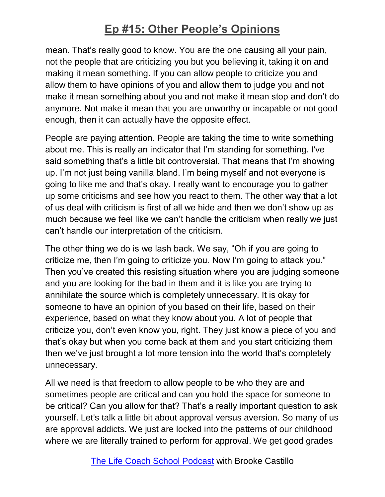mean. That's really good to know. You are the one causing all your pain, not the people that are criticizing you but you believing it, taking it on and making it mean something. If you can allow people to criticize you and allow them to have opinions of you and allow them to judge you and not make it mean something about you and not make it mean stop and don't do anymore. Not make it mean that you are unworthy or incapable or not good enough, then it can actually have the opposite effect.

People are paying attention. People are taking the time to write something about me. This is really an indicator that I'm standing for something. I've said something that's a little bit controversial. That means that I'm showing up. I'm not just being vanilla bland. I'm being myself and not everyone is going to like me and that's okay. I really want to encourage you to gather up some criticisms and see how you react to them. The other way that a lot of us deal with criticism is first of all we hide and then we don't show up as much because we feel like we can't handle the criticism when really we just can't handle our interpretation of the criticism.

The other thing we do is we lash back. We say, "Oh if you are going to criticize me, then I'm going to criticize you. Now I'm going to attack you." Then you've created this resisting situation where you are judging someone and you are looking for the bad in them and it is like you are trying to annihilate the source which is completely unnecessary. It is okay for someone to have an opinion of you based on their life, based on their experience, based on what they know about you. A lot of people that criticize you, don't even know you, right. They just know a piece of you and that's okay but when you come back at them and you start criticizing them then we've just brought a lot more tension into the world that's completely unnecessary.

All we need is that freedom to allow people to be who they are and sometimes people are critical and can you hold the space for someone to be critical? Can you allow for that? That's a really important question to ask yourself. Let's talk a little bit about approval versus aversion. So many of us are approval addicts. We just are locked into the patterns of our childhood where we are literally trained to perform for approval. We get good grades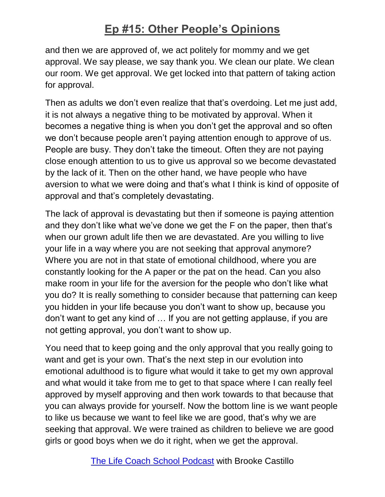and then we are approved of, we act politely for mommy and we get approval. We say please, we say thank you. We clean our plate. We clean our room. We get approval. We get locked into that pattern of taking action for approval.

Then as adults we don't even realize that that's overdoing. Let me just add, it is not always a negative thing to be motivated by approval. When it becomes a negative thing is when you don't get the approval and so often we don't because people aren't paying attention enough to approve of us. People are busy. They don't take the timeout. Often they are not paying close enough attention to us to give us approval so we become devastated by the lack of it. Then on the other hand, we have people who have aversion to what we were doing and that's what I think is kind of opposite of approval and that's completely devastating.

The lack of approval is devastating but then if someone is paying attention and they don't like what we've done we get the F on the paper, then that's when our grown adult life then we are devastated. Are you willing to live your life in a way where you are not seeking that approval anymore? Where you are not in that state of emotional childhood, where you are constantly looking for the A paper or the pat on the head. Can you also make room in your life for the aversion for the people who don't like what you do? It is really something to consider because that patterning can keep you hidden in your life because you don't want to show up, because you don't want to get any kind of … If you are not getting applause, if you are not getting approval, you don't want to show up.

You need that to keep going and the only approval that you really going to want and get is your own. That's the next step in our evolution into emotional adulthood is to figure what would it take to get my own approval and what would it take from me to get to that space where I can really feel approved by myself approving and then work towards to that because that you can always provide for yourself. Now the bottom line is we want people to like us because we want to feel like we are good, that's why we are seeking that approval. We were trained as children to believe we are good girls or good boys when we do it right, when we get the approval.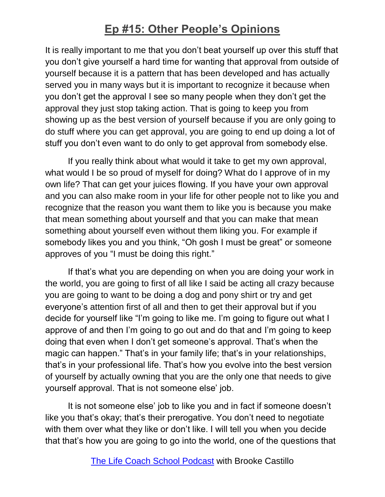It is really important to me that you don't beat yourself up over this stuff that you don't give yourself a hard time for wanting that approval from outside of yourself because it is a pattern that has been developed and has actually served you in many ways but it is important to recognize it because when you don't get the approval I see so many people when they don't get the approval they just stop taking action. That is going to keep you from showing up as the best version of yourself because if you are only going to do stuff where you can get approval, you are going to end up doing a lot of stuff you don't even want to do only to get approval from somebody else.

If you really think about what would it take to get my own approval, what would I be so proud of myself for doing? What do I approve of in my own life? That can get your juices flowing. If you have your own approval and you can also make room in your life for other people not to like you and recognize that the reason you want them to like you is because you make that mean something about yourself and that you can make that mean something about yourself even without them liking you. For example if somebody likes you and you think, "Oh gosh I must be great" or someone approves of you "I must be doing this right."

If that's what you are depending on when you are doing your work in the world, you are going to first of all like I said be acting all crazy because you are going to want to be doing a dog and pony shirt or try and get everyone's attention first of all and then to get their approval but if you decide for yourself like "I'm going to like me. I'm going to figure out what I approve of and then I'm going to go out and do that and I'm going to keep doing that even when I don't get someone's approval. That's when the magic can happen." That's in your family life; that's in your relationships, that's in your professional life. That's how you evolve into the best version of yourself by actually owning that you are the only one that needs to give yourself approval. That is not someone else' job.

It is not someone else' job to like you and in fact if someone doesn't like you that's okay; that's their prerogative. You don't need to negotiate with them over what they like or don't like. I will tell you when you decide that that's how you are going to go into the world, one of the questions that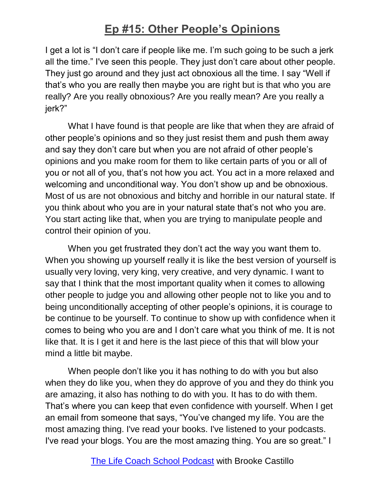I get a lot is "I don't care if people like me. I'm such going to be such a jerk all the time." I've seen this people. They just don't care about other people. They just go around and they just act obnoxious all the time. I say "Well if that's who you are really then maybe you are right but is that who you are really? Are you really obnoxious? Are you really mean? Are you really a jerk?"

What I have found is that people are like that when they are afraid of other people's opinions and so they just resist them and push them away and say they don't care but when you are not afraid of other people's opinions and you make room for them to like certain parts of you or all of you or not all of you, that's not how you act. You act in a more relaxed and welcoming and unconditional way. You don't show up and be obnoxious. Most of us are not obnoxious and bitchy and horrible in our natural state. If you think about who you are in your natural state that's not who you are. You start acting like that, when you are trying to manipulate people and control their opinion of you.

When you get frustrated they don't act the way you want them to. When you showing up yourself really it is like the best version of yourself is usually very loving, very king, very creative, and very dynamic. I want to say that I think that the most important quality when it comes to allowing other people to judge you and allowing other people not to like you and to being unconditionally accepting of other people's opinions, it is courage to be continue to be yourself. To continue to show up with confidence when it comes to being who you are and I don't care what you think of me. It is not like that. It is I get it and here is the last piece of this that will blow your mind a little bit maybe.

When people don't like you it has nothing to do with you but also when they do like you, when they do approve of you and they do think you are amazing, it also has nothing to do with you. It has to do with them. That's where you can keep that even confidence with yourself. When I get an email from someone that says, "You've changed my life. You are the most amazing thing. I've read your books. I've listened to your podcasts. I've read your blogs. You are the most amazing thing. You are so great." I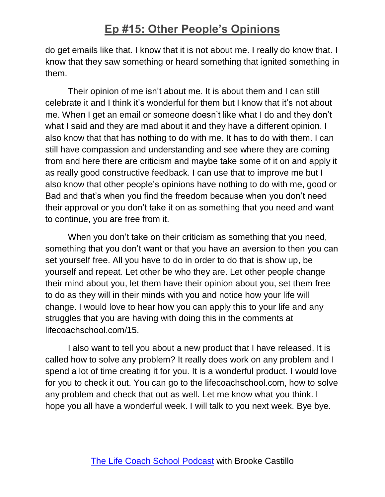do get emails like that. I know that it is not about me. I really do know that. I know that they saw something or heard something that ignited something in them.

Their opinion of me isn't about me. It is about them and I can still celebrate it and I think it's wonderful for them but I know that it's not about me. When I get an email or someone doesn't like what I do and they don't what I said and they are mad about it and they have a different opinion. I also know that that has nothing to do with me. It has to do with them. I can still have compassion and understanding and see where they are coming from and here there are criticism and maybe take some of it on and apply it as really good constructive feedback. I can use that to improve me but I also know that other people's opinions have nothing to do with me, good or Bad and that's when you find the freedom because when you don't need their approval or you don't take it on as something that you need and want to continue, you are free from it.

When you don't take on their criticism as something that you need, something that you don't want or that you have an aversion to then you can set yourself free. All you have to do in order to do that is show up, be yourself and repeat. Let other be who they are. Let other people change their mind about you, let them have their opinion about you, set them free to do as they will in their minds with you and notice how your life will change. I would love to hear how you can apply this to your life and any struggles that you are having with doing this in the comments at lifecoachschool.com/15.

I also want to tell you about a new product that I have released. It is called how to solve any problem? It really does work on any problem and I spend a lot of time creating it for you. It is a wonderful product. I would love for you to check it out. You can go to the lifecoachschool.com, how to solve any problem and check that out as well. Let me know what you think. I hope you all have a wonderful week. I will talk to you next week. Bye bye.